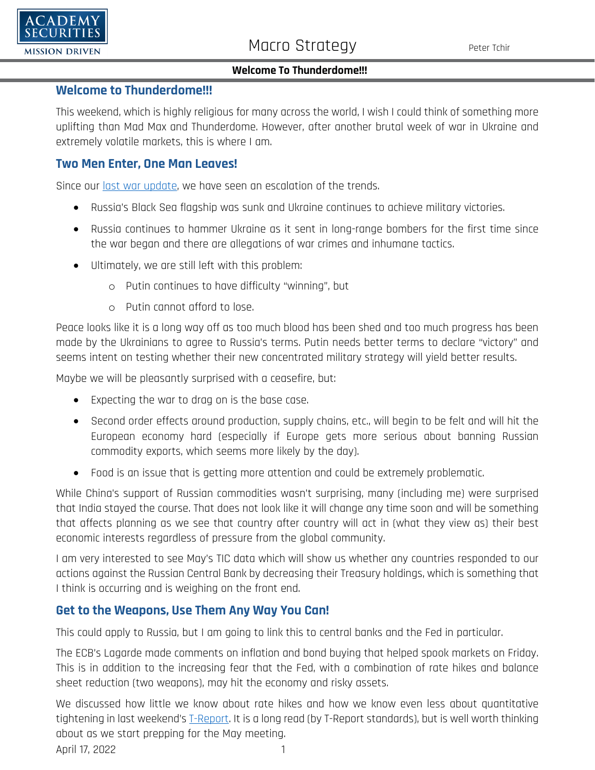

#### **Welcome To Thunderdome!!!**

### **Welcome to Thunderdome!!!**

This weekend, which is highly religious for many across the world, I wish I could think of something more uplifting than Mad Max and Thunderdome. However, after another brutal week of war in Ukraine and extremely volatile markets, this is where I am.

### **Two Men Enter, One Man Leaves!**

Since our [last war update,](https://www.academysecurities.com/wordpress/wp-content/uploads/2022/04/The-Academy-T-Report-Weekend-War-Update.pdf) we have seen an escalation of the trends.

- Russia's Black Sea flagship was sunk and Ukraine continues to achieve military victories.
- Russia continues to hammer Ukraine as it sent in long-range bombers for the first time since the war began and there are allegations of war crimes and inhumane tactics.
- Ultimately, we are still left with this problem:
	- o Putin continues to have difficulty "winning", but
	- o Putin cannot afford to lose.

Peace looks like it is a long way off as too much blood has been shed and too much progress has been made by the Ukrainians to agree to Russia's terms. Putin needs better terms to declare "victory" and seems intent on testing whether their new concentrated military strategy will yield better results.

Maybe we will be pleasantly surprised with a ceasefire, but:

- Expecting the war to drag on is the base case.
- Second order effects around production, supply chains, etc., will begin to be felt and will hit the European economy hard (especially if Europe gets more serious about banning Russian commodity exports, which seems more likely by the day).
- Food is an issue that is getting more attention and could be extremely problematic.

While China's support of Russian commodities wasn't surprising, many (including me) were surprised that India stayed the course. That does not look like it will change any time soon and will be something that affects planning as we see that country after country will act in (what they view as) their best economic interests regardless of pressure from the global community.

I am very interested to see May's TIC data which will show us whether any countries responded to our actions against the Russian Central Bank by decreasing their Treasury holdings, which is something that I think is occurring and is weighing on the front end.

### **Get to the Weapons, Use Them Any Way You Can!**

This could apply to Russia, but I am going to link this to central banks and the Fed in particular.

The ECB's Lagarde made comments on inflation and bond buying that helped spook markets on Friday. This is in addition to the increasing fear that the Fed, with a combination of rate hikes and balance sheet reduction (two weapons), may hit the economy and risky assets.

April 17, 2022 1 We discussed how little we know about rate hikes and how we know even less about quantitative tightening in last weekend'[s T-Report.](https://www.academysecurities.com/wordpress/wp-content/uploads/2022/04/Horsepower-Rube-Goldberg-Translating-QT-to-BPS.pdf) It is a long read (by T-Report standards), but is well worth thinking about as we start prepping for the May meeting.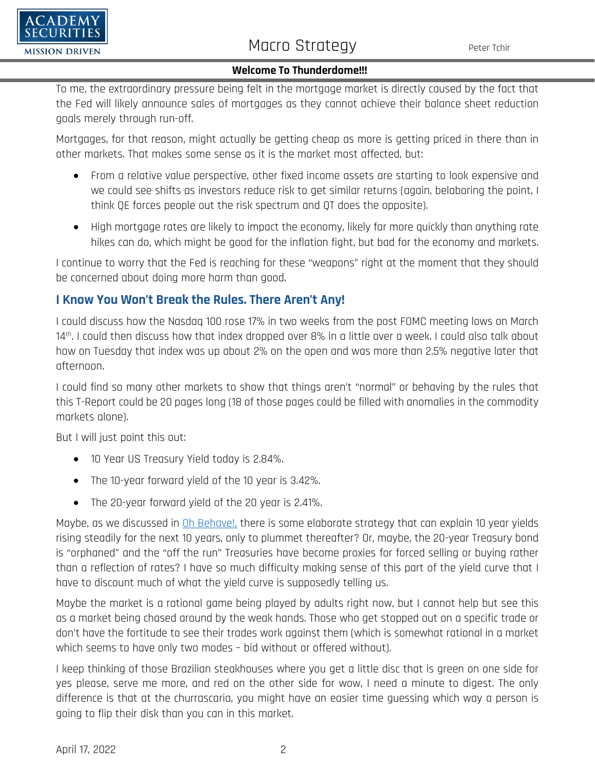

# Macro Strategy Peter Tchir

#### **Welcome To Thunderdome!!!**

To me, the extraordinary pressure being felt in the mortgage market is directly caused by the fact that the Fed will likely announce sales of mortgages as they cannot achieve their balance sheet reduction goals merely through run-off.

Mortgages, for that reason, might actually be getting cheap as more is getting priced in there than in other markets. That makes some sense as it is the market most affected, but:

- From a relative value perspective, other fixed income assets are starting to look expensive and we could see shifts as investors reduce risk to get similar returns (again, belaboring the point, I think QE forces people out the risk spectrum and QT does the opposite).
- High mortgage rates are likely to impact the economy, likely far more quickly than anything rate hikes can do, which might be good for the inflation fight, but bad for the economy and markets.

I continue to worry that the Fed is reaching for these "weapons" right at the moment that they should be concerned about doing more harm than good.

### **I Know You Won't Break the Rules. There Aren't Any!**

I could discuss how the Nasdaq 100 rose 17% in two weeks from the post FOMC meeting lows on March 14th. I could then discuss how that index dropped over 8% in a little over a week. I could also talk about how on Tuesday that index was up about 2% on the open and was more than 2.5% negative later that afternoon.

I could find so many other markets to show that things aren't "normal" or behaving by the rules that this T-Report could be 20 pages long (18 of those pages could be filled with anomalies in the commodity markets alone).

But I will just point this out:

- 10 Year US Treasury Yield today is 2.84%.
- The 10-year forward yield of the 10 year is 3.42%.
- The 20-year forward yield of the 20 year is 2.41%.

Maybe, as we discussed in [Oh Behave!,](https://www.academysecurities.com/wordpress/wp-content/uploads/2022/04/Austin-Powers-on-the-Yield-Curve.pdf) there is some elaborate strategy that can explain 10 year yields rising steadily for the next 10 years, only to plummet thereafter? Or, maybe, the 20-year Treasury bond is "orphaned" and the "off the run" Treasuries have become proxies for forced selling or buying rather than a reflection of rates? I have so much difficulty making sense of this part of the yield curve that I have to discount much of what the yield curve is supposedly telling us.

Maybe the market is a rational game being played by adults right now, but I cannot help but see this as a market being chased around by the weak hands. Those who get stopped out on a specific trade or don't have the fortitude to see their trades work against them (which is somewhat rational in a market which seems to have only two modes – bid without or offered without).

I keep thinking of those Brazilian steakhouses where you get a little disc that is green on one side for yes please, serve me more, and red on the other side for wow, I need a minute to digest. The only difference is that at the churrascaria, you might have an easier time guessing which way a person is going to flip their disk than you can in this market.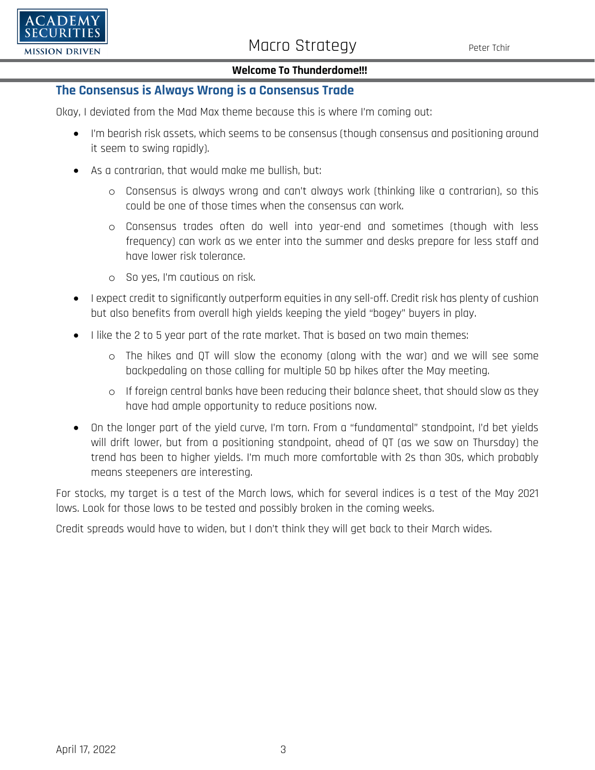

#### **Welcome To Thunderdome!!!**

### **The Consensus is Always Wrong is a Consensus Trade**

Okay, I deviated from the Mad Max theme because this is where I'm coming out:

- I'm bearish risk assets, which seems to be consensus (though consensus and positioning around it seem to swing rapidly).
- As a contrarian, that would make me bullish, but:
	- o Consensus is always wrong and can't always work (thinking like a contrarian), so this could be one of those times when the consensus can work.
	- o Consensus trades often do well into year-end and sometimes (though with less frequency) can work as we enter into the summer and desks prepare for less staff and have lower risk tolerance.
	- o So yes, I'm cautious on risk.
- I expect credit to significantly outperform equities in any sell-off. Credit risk has plenty of cushion but also benefits from overall high yields keeping the yield "bogey" buyers in play.
- I like the 2 to 5 year part of the rate market. That is based on two main themes:
	- o The hikes and QT will slow the economy (along with the war) and we will see some backpedaling on those calling for multiple 50 bp hikes after the May meeting.
	- o If foreign central banks have been reducing their balance sheet, that should slow as they have had ample opportunity to reduce positions now.
- On the longer part of the yield curve, I'm torn. From a "fundamental" standpoint, I'd bet yields will drift lower, but from a positioning standpoint, ahead of QT (as we saw on Thursday) the trend has been to higher yields. I'm much more comfortable with 2s than 30s, which probably means steepeners are interesting.

For stocks, my target is a test of the March lows, which for several indices is a test of the May 2021 lows. Look for those lows to be tested and possibly broken in the coming weeks.

Credit spreads would have to widen, but I don't think they will get back to their March wides.